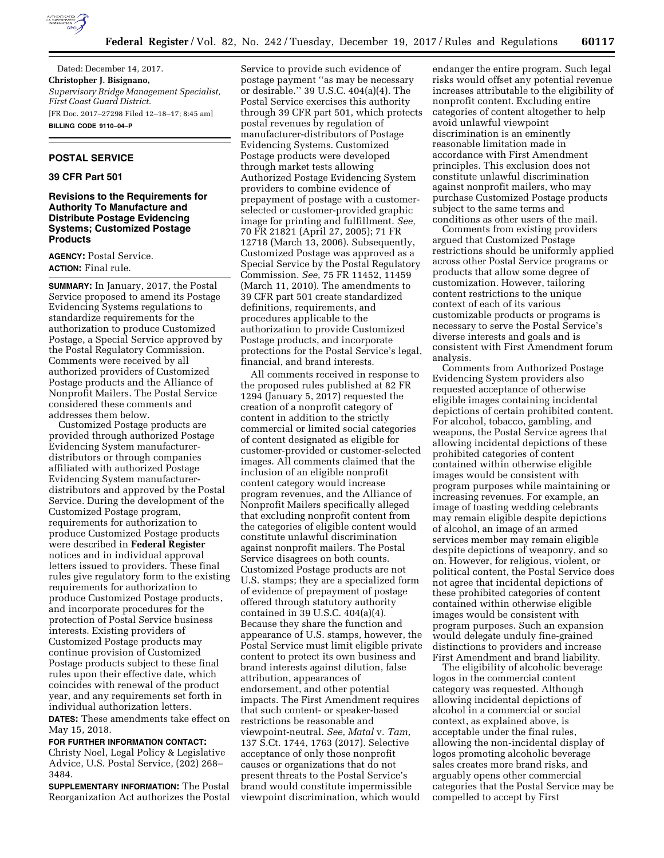

Dated: December 14, 2017. **Christopher J. Bisignano,**  *Supervisory Bridge Management Specialist, First Coast Guard District.*  [FR Doc. 2017–27298 Filed 12–18–17; 8:45 am] **BILLING CODE 9110–04–P** 

#### **POSTAL SERVICE**

# **39 CFR Part 501**

## **Revisions to the Requirements for Authority To Manufacture and Distribute Postage Evidencing Systems; Customized Postage Products**

**AGENCY:** Postal Service. **ACTION:** Final rule.

**SUMMARY:** In January, 2017, the Postal Service proposed to amend its Postage Evidencing Systems regulations to standardize requirements for the authorization to produce Customized Postage, a Special Service approved by the Postal Regulatory Commission. Comments were received by all authorized providers of Customized Postage products and the Alliance of Nonprofit Mailers. The Postal Service considered these comments and addresses them below.

Customized Postage products are provided through authorized Postage Evidencing System manufacturerdistributors or through companies affiliated with authorized Postage Evidencing System manufacturerdistributors and approved by the Postal Service. During the development of the Customized Postage program, requirements for authorization to produce Customized Postage products were described in **Federal Register**  notices and in individual approval letters issued to providers. These final rules give regulatory form to the existing requirements for authorization to produce Customized Postage products, and incorporate procedures for the protection of Postal Service business interests. Existing providers of Customized Postage products may continue provision of Customized Postage products subject to these final rules upon their effective date, which coincides with renewal of the product year, and any requirements set forth in individual authorization letters.

**DATES:** These amendments take effect on May 15, 2018.

**FOR FURTHER INFORMATION CONTACT:**  Christy Noel, Legal Policy & Legislative Advice, U.S. Postal Service, (202) 268– 3484.

**SUPPLEMENTARY INFORMATION:** The Postal Reorganization Act authorizes the Postal Service to provide such evidence of postage payment ''as may be necessary or desirable.'' 39 U.S.C. 404(a)(4). The Postal Service exercises this authority through 39 CFR part 501, which protects postal revenues by regulation of manufacturer-distributors of Postage Evidencing Systems. Customized Postage products were developed through market tests allowing Authorized Postage Evidencing System providers to combine evidence of prepayment of postage with a customerselected or customer-provided graphic image for printing and fulfillment. *See,*  70 FR 21821 (April 27, 2005); 71 FR 12718 (March 13, 2006). Subsequently, Customized Postage was approved as a Special Service by the Postal Regulatory Commission. *See,* 75 FR 11452, 11459 (March 11, 2010). The amendments to 39 CFR part 501 create standardized definitions, requirements, and procedures applicable to the authorization to provide Customized Postage products, and incorporate protections for the Postal Service's legal, financial, and brand interests.

All comments received in response to the proposed rules published at 82 FR 1294 (January 5, 2017) requested the creation of a nonprofit category of content in addition to the strictly commercial or limited social categories of content designated as eligible for customer-provided or customer-selected images. All comments claimed that the inclusion of an eligible nonprofit content category would increase program revenues, and the Alliance of Nonprofit Mailers specifically alleged that excluding nonprofit content from the categories of eligible content would constitute unlawful discrimination against nonprofit mailers. The Postal Service disagrees on both counts. Customized Postage products are not U.S. stamps; they are a specialized form of evidence of prepayment of postage offered through statutory authority contained in 39 U.S.C. 404(a)(4). Because they share the function and appearance of U.S. stamps, however, the Postal Service must limit eligible private content to protect its own business and brand interests against dilution, false attribution, appearances of endorsement, and other potential impacts. The First Amendment requires that such content- or speaker-based restrictions be reasonable and viewpoint-neutral. *See, Matal* v. *Tam,*  137 S.Ct. 1744, 1763 (2017). Selective acceptance of only those nonprofit causes or organizations that do not present threats to the Postal Service's brand would constitute impermissible viewpoint discrimination, which would

endanger the entire program. Such legal risks would offset any potential revenue increases attributable to the eligibility of nonprofit content. Excluding entire categories of content altogether to help avoid unlawful viewpoint discrimination is an eminently reasonable limitation made in accordance with First Amendment principles. This exclusion does not constitute unlawful discrimination against nonprofit mailers, who may purchase Customized Postage products subject to the same terms and conditions as other users of the mail.

Comments from existing providers argued that Customized Postage restrictions should be uniformly applied across other Postal Service programs or products that allow some degree of customization. However, tailoring content restrictions to the unique context of each of its various customizable products or programs is necessary to serve the Postal Service's diverse interests and goals and is consistent with First Amendment forum analysis.

Comments from Authorized Postage Evidencing System providers also requested acceptance of otherwise eligible images containing incidental depictions of certain prohibited content. For alcohol, tobacco, gambling, and weapons, the Postal Service agrees that allowing incidental depictions of these prohibited categories of content contained within otherwise eligible images would be consistent with program purposes while maintaining or increasing revenues. For example, an image of toasting wedding celebrants may remain eligible despite depictions of alcohol, an image of an armed services member may remain eligible despite depictions of weaponry, and so on. However, for religious, violent, or political content, the Postal Service does not agree that incidental depictions of these prohibited categories of content contained within otherwise eligible images would be consistent with program purposes. Such an expansion would delegate unduly fine-grained distinctions to providers and increase First Amendment and brand liability.

The eligibility of alcoholic beverage logos in the commercial content category was requested. Although allowing incidental depictions of alcohol in a commercial or social context, as explained above, is acceptable under the final rules, allowing the non-incidental display of logos promoting alcoholic beverage sales creates more brand risks, and arguably opens other commercial categories that the Postal Service may be compelled to accept by First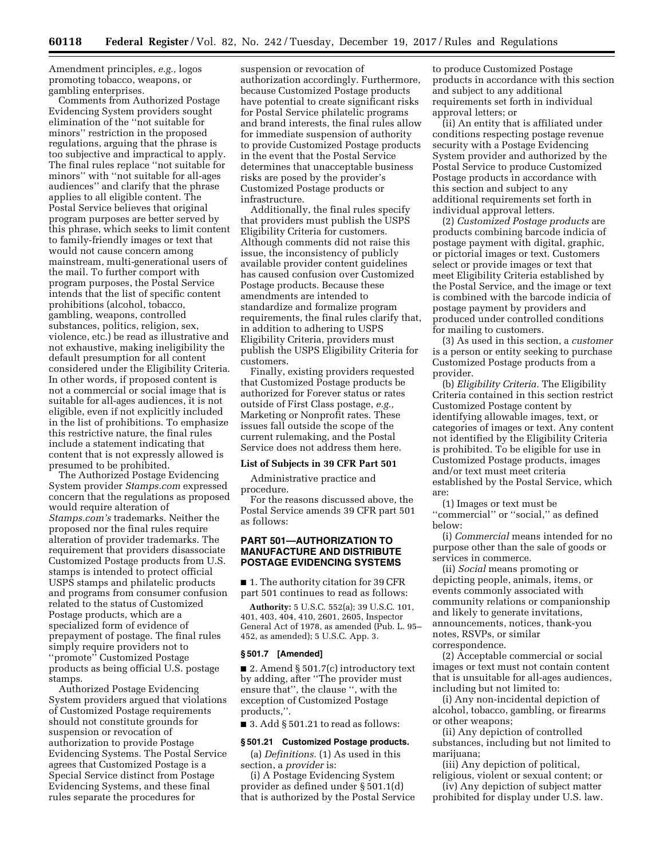Amendment principles, *e.g.,* logos promoting tobacco, weapons, or gambling enterprises.

Comments from Authorized Postage Evidencing System providers sought elimination of the ''not suitable for minors'' restriction in the proposed regulations, arguing that the phrase is too subjective and impractical to apply. The final rules replace ''not suitable for minors'' with ''not suitable for all-ages audiences'' and clarify that the phrase applies to all eligible content. The Postal Service believes that original program purposes are better served by this phrase, which seeks to limit content to family-friendly images or text that would not cause concern among mainstream, multi-generational users of the mail. To further comport with program purposes, the Postal Service intends that the list of specific content prohibitions (alcohol, tobacco, gambling, weapons, controlled substances, politics, religion, sex, violence, etc.) be read as illustrative and not exhaustive, making ineligibility the default presumption for all content considered under the Eligibility Criteria. In other words, if proposed content is not a commercial or social image that is suitable for all-ages audiences, it is not eligible, even if not explicitly included in the list of prohibitions. To emphasize this restrictive nature, the final rules include a statement indicating that content that is not expressly allowed is presumed to be prohibited.

The Authorized Postage Evidencing System provider *Stamps.com* expressed concern that the regulations as proposed would require alteration of *Stamps.com's* trademarks. Neither the proposed nor the final rules require alteration of provider trademarks. The requirement that providers disassociate Customized Postage products from U.S. stamps is intended to protect official USPS stamps and philatelic products and programs from consumer confusion related to the status of Customized Postage products, which are a specialized form of evidence of prepayment of postage. The final rules simply require providers not to ''promote'' Customized Postage products as being official U.S. postage stamps.

Authorized Postage Evidencing System providers argued that violations of Customized Postage requirements should not constitute grounds for suspension or revocation of authorization to provide Postage Evidencing Systems. The Postal Service agrees that Customized Postage is a Special Service distinct from Postage Evidencing Systems, and these final rules separate the procedures for

suspension or revocation of authorization accordingly. Furthermore, because Customized Postage products have potential to create significant risks for Postal Service philatelic programs and brand interests, the final rules allow for immediate suspension of authority to provide Customized Postage products in the event that the Postal Service determines that unacceptable business risks are posed by the provider's Customized Postage products or infrastructure.

Additionally, the final rules specify that providers must publish the USPS Eligibility Criteria for customers. Although comments did not raise this issue, the inconsistency of publicly available provider content guidelines has caused confusion over Customized Postage products. Because these amendments are intended to standardize and formalize program requirements, the final rules clarify that, in addition to adhering to USPS Eligibility Criteria, providers must publish the USPS Eligibility Criteria for customers.

Finally, existing providers requested that Customized Postage products be authorized for Forever status or rates outside of First Class postage, *e.g.,*  Marketing or Nonprofit rates. These issues fall outside the scope of the current rulemaking, and the Postal Service does not address them here.

## **List of Subjects in 39 CFR Part 501**

Administrative practice and procedure.

For the reasons discussed above, the Postal Service amends 39 CFR part 501 as follows:

## **PART 501—AUTHORIZATION TO MANUFACTURE AND DISTRIBUTE POSTAGE EVIDENCING SYSTEMS**

■ 1. The authority citation for 39 CFR part 501 continues to read as follows:

**Authority:** 5 U.S.C. 552(a); 39 U.S.C. 101, 401, 403, 404, 410, 2601, 2605, Inspector General Act of 1978, as amended (Pub. L. 95– 452, as amended); 5 U.S.C. App. 3.

#### **§ 501.7 [Amended]**

■ 2. Amend § 501.7(c) introductory text by adding, after ''The provider must ensure that'', the clause '', with the exception of Customized Postage products,''.

 $\blacksquare$  3. Add § 501.21 to read as follows:

#### **§ 501.21 Customized Postage products.**

(a) *Definitions.* (1) As used in this section, a *provider* is:

(i) A Postage Evidencing System provider as defined under § 501.1(d) that is authorized by the Postal Service

to produce Customized Postage products in accordance with this section and subject to any additional requirements set forth in individual approval letters; or

(ii) An entity that is affiliated under conditions respecting postage revenue security with a Postage Evidencing System provider and authorized by the Postal Service to produce Customized Postage products in accordance with this section and subject to any additional requirements set forth in individual approval letters.

(2) *Customized Postage products* are products combining barcode indicia of postage payment with digital, graphic, or pictorial images or text. Customers select or provide images or text that meet Eligibility Criteria established by the Postal Service, and the image or text is combined with the barcode indicia of postage payment by providers and produced under controlled conditions for mailing to customers.

(3) As used in this section, a *customer*  is a person or entity seeking to purchase Customized Postage products from a provider.

(b) *Eligibility Criteria.* The Eligibility Criteria contained in this section restrict Customized Postage content by identifying allowable images, text, or categories of images or text. Any content not identified by the Eligibility Criteria is prohibited. To be eligible for use in Customized Postage products, images and/or text must meet criteria established by the Postal Service, which are:

(1) Images or text must be "commercial" or "social," as defined below:

(i) *Commercial* means intended for no purpose other than the sale of goods or services in commerce.

(ii) *Social* means promoting or depicting people, animals, items, or events commonly associated with community relations or companionship and likely to generate invitations, announcements, notices, thank-you notes, RSVPs, or similar correspondence.

(2) Acceptable commercial or social images or text must not contain content that is unsuitable for all-ages audiences, including but not limited to:

(i) Any non-incidental depiction of alcohol, tobacco, gambling, or firearms or other weapons;

(ii) Any depiction of controlled substances, including but not limited to marijuana;

(iii) Any depiction of political, religious, violent or sexual content; or

(iv) Any depiction of subject matter prohibited for display under U.S. law.